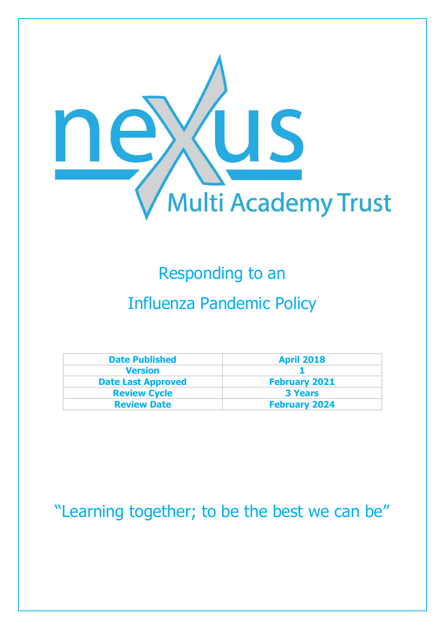

# Responding to an

## Influenza Pandemic Policy

| <b>Date Published</b>     | <b>April 2018</b>    |
|---------------------------|----------------------|
| <b>Version</b>            |                      |
| <b>Date Last Approved</b> | <b>February 2021</b> |
| <b>Review Cycle</b>       | <b>3 Years</b>       |
| <b>Review Date</b>        | <b>February 2024</b> |

### "Learning together; to be the best we can be"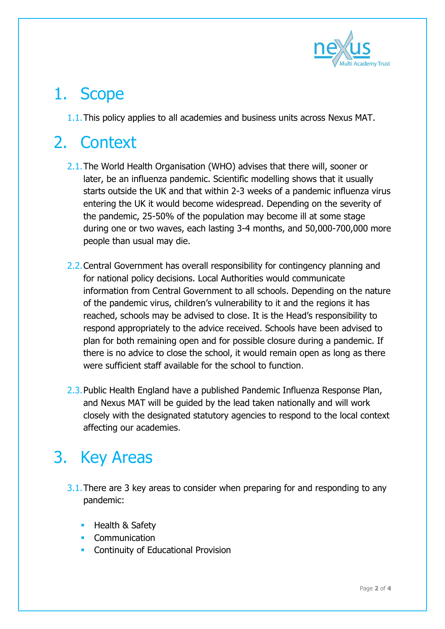

#### 1. Scope

1.1.This policy applies to all academies and business units across Nexus MAT.

# 2. Context

- 2.1.The World Health Organisation (WHO) advises that there will, sooner or later, be an influenza pandemic. Scientific modelling shows that it usually starts outside the UK and that within 2-3 weeks of a pandemic influenza virus entering the UK it would become widespread. Depending on the severity of the pandemic, 25-50% of the population may become ill at some stage during one or two waves, each lasting 3-4 months, and 50,000-700,000 more people than usual may die.
- 2.2. Central Government has overall responsibility for contingency planning and for national policy decisions. Local Authorities would communicate information from Central Government to all schools. Depending on the nature of the pandemic virus, children's vulnerability to it and the regions it has reached, schools may be advised to close. It is the Head's responsibility to respond appropriately to the advice received. Schools have been advised to plan for both remaining open and for possible closure during a pandemic. If there is no advice to close the school, it would remain open as long as there were sufficient staff available for the school to function.
- 2.3.Public Health England have a published Pandemic Influenza Response Plan, and Nexus MAT will be guided by the lead taken nationally and will work closely with the designated statutory agencies to respond to the local context affecting our academies.

## 3. Key Areas

- 3.1. There are 3 key areas to consider when preparing for and responding to any pandemic:
	- Health & Safety
	- **Communication**
	- **EXECONTINUITY OF Educational Provision**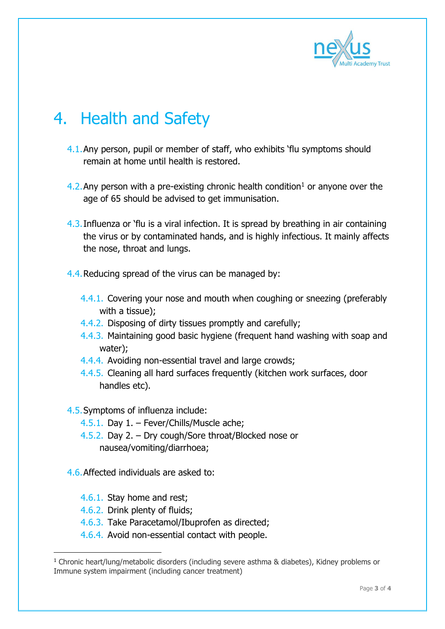

## 4. Health and Safety

- 4.1.Any person, pupil or member of staff, who exhibits 'flu symptoms should remain at home until health is restored.
- 4.2. Any person with a pre-existing chronic health condition<sup>1</sup> or anyone over the age of 65 should be advised to get immunisation.
- 4.3.Influenza or 'flu is a viral infection. It is spread by breathing in air containing the virus or by contaminated hands, and is highly infectious. It mainly affects the nose, throat and lungs.
- 4.4.Reducing spread of the virus can be managed by:
	- 4.4.1. Covering your nose and mouth when coughing or sneezing (preferably with a tissue);
	- 4.4.2. Disposing of dirty tissues promptly and carefully;
	- 4.4.3. Maintaining good basic hygiene (frequent hand washing with soap and water);
	- 4.4.4. Avoiding non-essential travel and large crowds;
	- 4.4.5. Cleaning all hard surfaces frequently (kitchen work surfaces, door handles etc).

4.5.Symptoms of influenza include:

- 4.5.1. Day 1. Fever/Chills/Muscle ache;
- 4.5.2. Day 2. Dry cough/Sore throat/Blocked nose or nausea/vomiting/diarrhoea;
- 4.6.Affected individuals are asked to:
	- 4.6.1. Stay home and rest;
	- 4.6.2. Drink plenty of fluids;

-

- 4.6.3. Take Paracetamol/Ibuprofen as directed;
- 4.6.4. Avoid non-essential contact with people.

<sup>1</sup> Chronic heart/lung/metabolic disorders (including severe asthma & diabetes), Kidney problems or Immune system impairment (including cancer treatment)